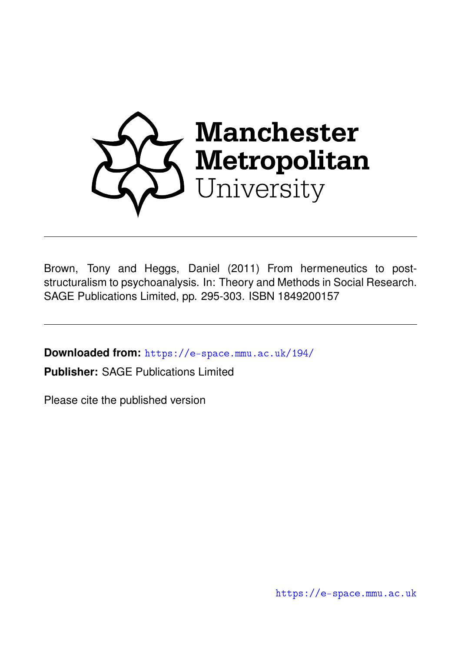

Brown, Tony and Heggs, Daniel (2011) From hermeneutics to poststructuralism to psychoanalysis. In: Theory and Methods in Social Research. SAGE Publications Limited, pp. 295-303. ISBN 1849200157

**Downloaded from:** <https://e-space.mmu.ac.uk/194/>

**Publisher:** SAGE Publications Limited

Please cite the published version

<https://e-space.mmu.ac.uk>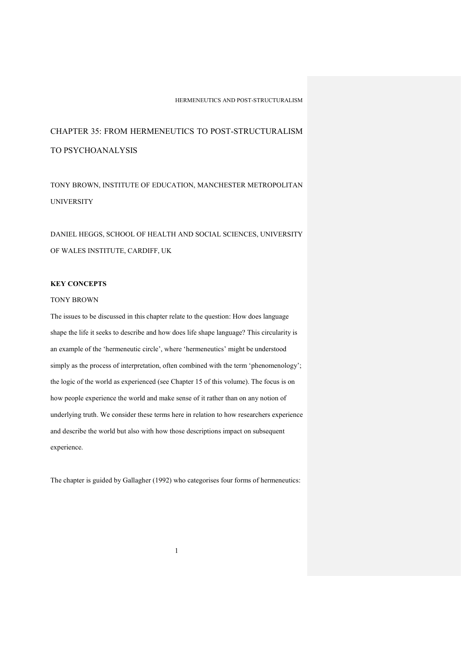# CHAPTER 35: FROM HERMENEUTICS TO POST-STRUCTURALISM TO PSYCHOANALYSIS

TONY BROWN, INSTITUTE OF EDUCATION, MANCHESTER METROPOLITAN UNIVERSITY

DANIEL HEGGS, SCHOOL OF HEALTH AND SOCIAL SCIENCES, UNIVERSITY OF WALES INSTITUTE, CARDIFF, UK

# **KEY CONCEPTS**

# TONY BROWN

The issues to be discussed in this chapter relate to the question: How does language shape the life it seeks to describe and how does life shape language? This circularity is an example of the 'hermeneutic circle', where 'hermeneutics' might be understood simply as the process of interpretation, often combined with the term 'phenomenology'; the logic of the world as experienced (see Chapter 15 of this volume). The focus is on how people experience the world and make sense of it rather than on any notion of underlying truth. We consider these terms here in relation to how researchers experience and describe the world but also with how those descriptions impact on subsequent experience.

The chapter is guided by Gallagher (1992) who categorises four forms of hermeneutics: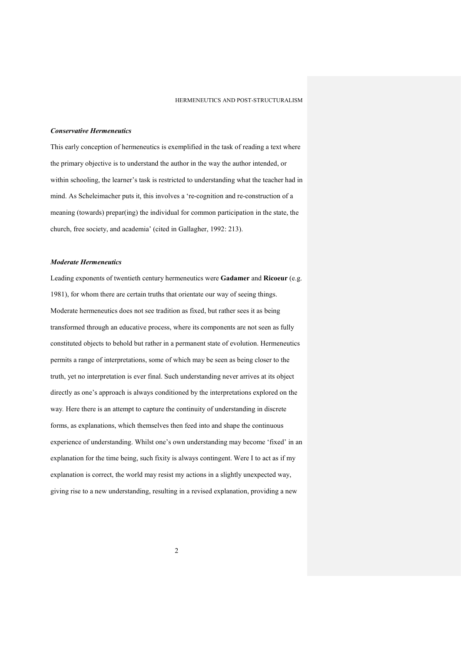# *Conservative Hermeneutics*

This early conception of hermeneutics is exemplified in the task of reading a text where the primary objective is to understand the author in the way the author intended, or within schooling, the learner's task is restricted to understanding what the teacher had in mind. As Scheleimacher puts it, this involves a 're-cognition and re-construction of a meaning (towards) prepar(ing) the individual for common participation in the state, the church, free society, and academia' (cited in Gallagher, 1992: 213).

# *Moderate Hermeneutics*

Leading exponents of twentieth century hermeneutics were **Gadamer** and **Ricoeur** (e.g. 1981), for whom there are certain truths that orientate our way of seeing things. Moderate hermeneutics does not see tradition as fixed, but rather sees it as being transformed through an educative process, where its components are not seen as fully constituted objects to behold but rather in a permanent state of evolution. Hermeneutics permits a range of interpretations, some of which may be seen as being closer to the truth, yet no interpretation is ever final. Such understanding never arrives at its object directly as one's approach is always conditioned by the interpretations explored on the way*.* Here there is an attempt to capture the continuity of understanding in discrete forms, as explanations, which themselves then feed into and shape the continuous experience of understanding. Whilst one's own understanding may become 'fixed' in an explanation for the time being, such fixity is always contingent. Were I to act as if my explanation is correct, the world may resist my actions in a slightly unexpected way, giving rise to a new understanding, resulting in a revised explanation, providing a new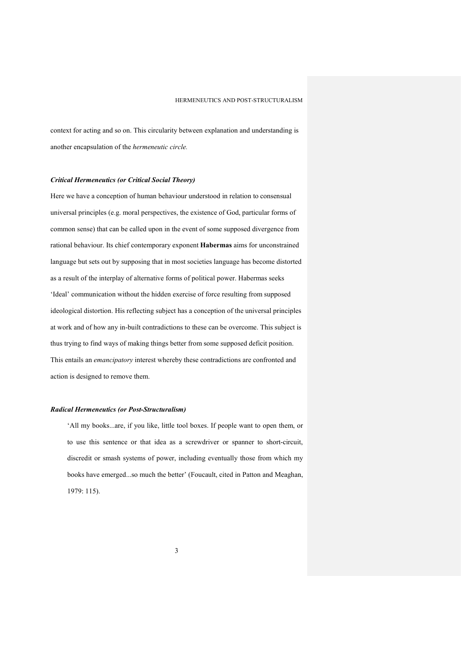context for acting and so on. This circularity between explanation and understanding is another encapsulation of the *hermeneutic circle.*

## *Critical Hermeneutics (or Critical Social Theory)*

Here we have a conception of human behaviour understood in relation to consensual universal principles (e.g. moral perspectives, the existence of God, particular forms of common sense) that can be called upon in the event of some supposed divergence from rational behaviour. Its chief contemporary exponent **Habermas** aims for unconstrained language but sets out by supposing that in most societies language has become distorted as a result of the interplay of alternative forms of political power. Habermas seeks 'Ideal' communication without the hidden exercise of force resulting from supposed ideological distortion. His reflecting subject has a conception of the universal principles at work and of how any in-built contradictions to these can be overcome. This subject is thus trying to find ways of making things better from some supposed deficit position. This entails an *emancipatory* interest whereby these contradictions are confronted and action is designed to remove them.

#### *Radical Hermeneutics (or Post-Structuralism)*

'All my books...are, if you like, little tool boxes. If people want to open them, or to use this sentence or that idea as a screwdriver or spanner to short-circuit, discredit or smash systems of power, including eventually those from which my books have emerged...so much the better' (Foucault, cited in Patton and Meaghan, 1979: 115).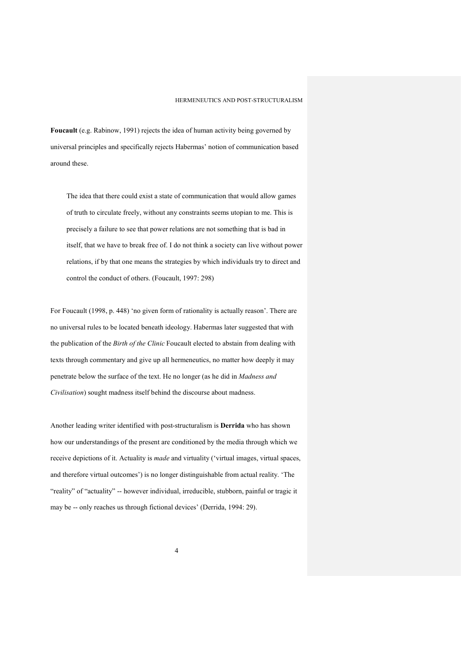**Foucault** (e.g. Rabinow, 1991) rejects the idea of human activity being governed by universal principles and specifically rejects Habermas' notion of communication based around these.

The idea that there could exist a state of communication that would allow games of truth to circulate freely, without any constraints seems utopian to me. This is precisely a failure to see that power relations are not something that is bad in itself, that we have to break free of. I do not think a society can live without power relations, if by that one means the strategies by which individuals try to direct and control the conduct of others. (Foucault, 1997: 298)

For Foucault (1998, p. 448) 'no given form of rationality is actually reason'. There are no universal rules to be located beneath ideology. Habermas later suggested that with the publication of the *Birth of the Clinic* Foucault elected to abstain from dealing with texts through commentary and give up all hermeneutics, no matter how deeply it may penetrate below the surface of the text. He no longer (as he did in *Madness and Civilisation*) sought madness itself behind the discourse about madness.

Another leading writer identified with post-structuralism is **Derrida** who has shown how our understandings of the present are conditioned by the media through which we receive depictions of it. Actuality is *made* and virtuality ('virtual images, virtual spaces, and therefore virtual outcomes') is no longer distinguishable from actual reality. 'The "reality" of "actuality" -- however individual, irreducible, stubborn, painful or tragic it may be -- only reaches us through fictional devices' (Derrida, 1994: 29).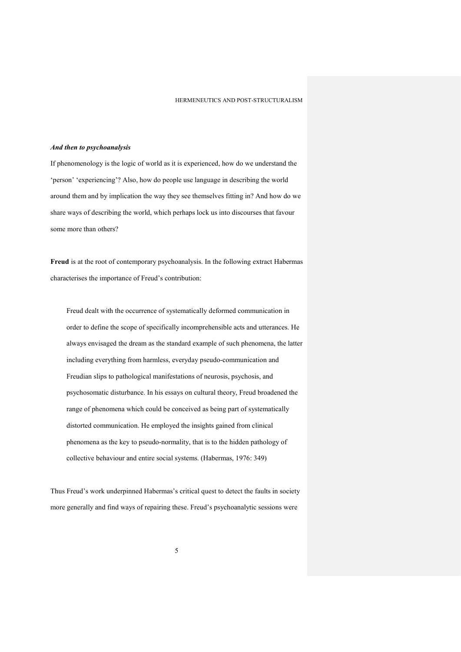#### *And then to psychoanalysis*

If phenomenology is the logic of world as it is experienced, how do we understand the 'person' 'experiencing'? Also, how do people use language in describing the world around them and by implication the way they see themselves fitting in? And how do we share ways of describing the world, which perhaps lock us into discourses that favour some more than others?

**Freud** is at the root of contemporary psychoanalysis. In the following extract Habermas characterises the importance of Freud's contribution:

Freud dealt with the occurrence of systematically deformed communication in order to define the scope of specifically incomprehensible acts and utterances. He always envisaged the dream as the standard example of such phenomena, the latter including everything from harmless, everyday pseudo-communication and Freudian slips to pathological manifestations of neurosis, psychosis, and psychosomatic disturbance. In his essays on cultural theory, Freud broadened the range of phenomena which could be conceived as being part of systematically distorted communication. He employed the insights gained from clinical phenomena as the key to pseudo-normality, that is to the hidden pathology of collective behaviour and entire social systems. (Habermas, 1976: 349)

Thus Freud's work underpinned Habermas's critical quest to detect the faults in society more generally and find ways of repairing these. Freud's psychoanalytic sessions were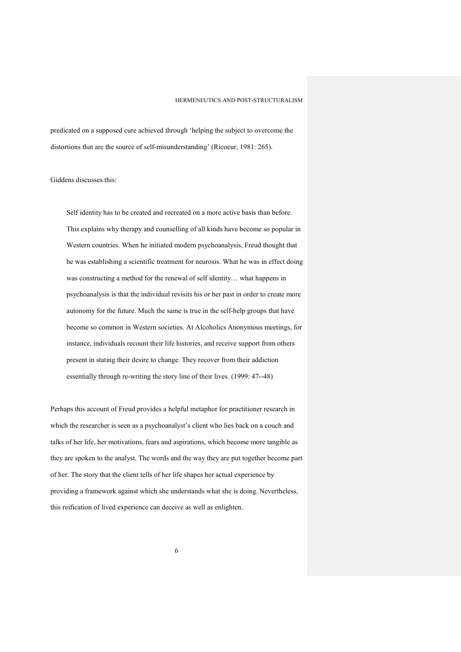predicated on a supposed cure achieved through 'helping the subject to overcome the distortions that are the source of self-misunderstanding' (Ricoeur, 1981: 265).

Giddens discusses this:

Self identity has to be created and recreated on a more active basis than before. This explains why therapy and counselling of all kinds have become so popular in Western countries. When he initiated modern psychoanalysis, Freud thought that he was establishing a scientific treatment for neurosis. What he was in effect doing was constructing a method for the renewal of self identity… what happens in psychoanalysis is that the individual revisits his or her past in order to create more autonomy for the future. Much the same is true in the self-help groups that have become so common in Western societies. At Alcoholics Anonymous meetings, for instance, individuals recount their life histories, and receive support from others present in stating their desire to change. They recover from their addiction essentially through re-writing the story line of their lives. (1999: 47--48)

Perhaps this account of Freud provides a helpful metaphor for practitioner research in which the researcher is seen as a psychoanalyst's client who lies back on a couch and talks of her life, her motivations, fears and aspirations, which become more tangible as they are spoken to the analyst. The words and the way they are put together become part of her. The story that the client tells of her life shapes her actual experience by providing a framework against which she understands what she is doing. Nevertheless, this reification of lived experience can deceive as well as enlighten.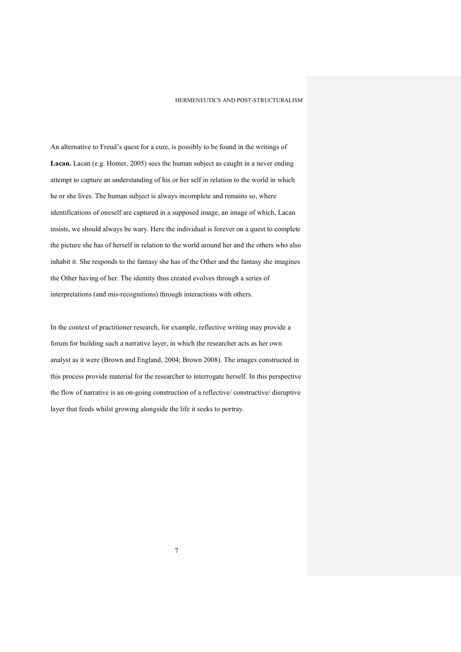An alternative to Freud's quest for a cure, is possibly to be found in the writings of **Lacan.** Lacan (e.g. Homer, 2005) sees the human subject as caught in a never ending attempt to capture an understanding of his or her self in relation to the world in which he or she lives. The human subject is always incomplete and remains so, where identifications of oneself are captured in a supposed image, an image of which, Lacan insists, we should always be wary. Here the individual is forever on a quest to complete the picture she has of herself in relation to the world around her and the others who also inhabit it. She responds to the fantasy she has of the Other and the fantasy she imagines the Other having of her. The identity thus created evolves through a series of interpretations (and mis-recognitions) through interactions with others.

In the context of practitioner research, for example, reflective writing may provide a forum for building such a narrative layer, in which the researcher acts as her own analyst as it were (Brown and England, 2004; Brown 2008). The images constructed in this process provide material for the researcher to interrogate herself. In this perspective the flow of narrative is an on-going construction of a reflective/ constructive/ disruptive layer that feeds whilst growing alongside the life it seeks to portray.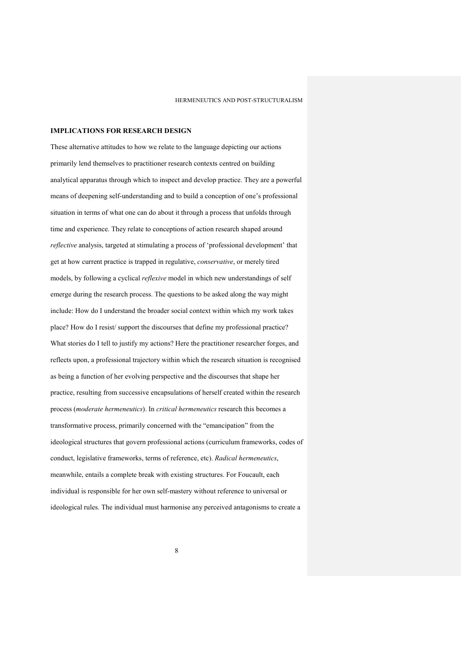## **IMPLICATIONS FOR RESEARCH DESIGN**

These alternative attitudes to how we relate to the language depicting our actions primarily lend themselves to practitioner research contexts centred on building analytical apparatus through which to inspect and develop practice. They are a powerful means of deepening self-understanding and to build a conception of one's professional situation in terms of what one can do about it through a process that unfolds through time and experience. They relate to conceptions of action research shaped around *reflective* analysis, targeted at stimulating a process of 'professional development' that get at how current practice is trapped in regulative, *conservative*, or merely tired models, by following a cyclical *reflexive* model in which new understandings of self emerge during the research process. The questions to be asked along the way might include: How do I understand the broader social context within which my work takes place? How do I resist/ support the discourses that define my professional practice? What stories do I tell to justify my actions? Here the practitioner researcher forges, and reflects upon, a professional trajectory within which the research situation is recognised as being a function of her evolving perspective and the discourses that shape her practice, resulting from successive encapsulations of herself created within the research process (*moderate hermeneutics*). In *critical hermeneutics* research this becomes a transformative process, primarily concerned with the "emancipation" from the ideological structures that govern professional actions (curriculum frameworks, codes of conduct, legislative frameworks, terms of reference, etc). *Radical hermeneutics*, meanwhile, entails a complete break with existing structures. For Foucault, each individual is responsible for her own self-mastery without reference to universal or ideological rules. The individual must harmonise any perceived antagonisms to create a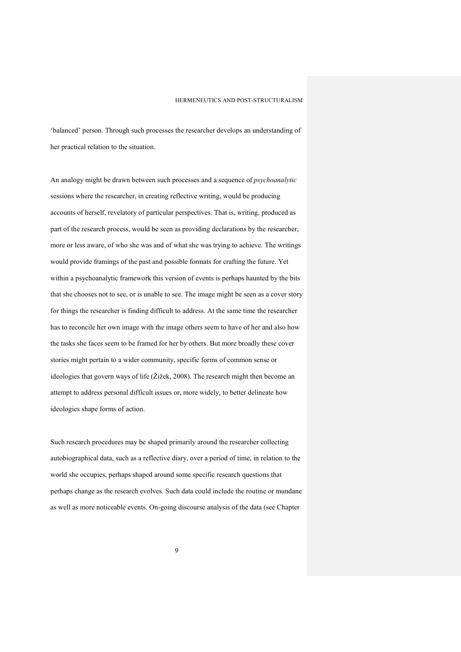'balanced' person. Through such processes the researcher develops an understanding of her practical relation to the situation.

An analogy might be drawn between such processes and a sequence of *psychoanalytic* sessions where the researcher, in creating reflective writing, would be producing accounts of herself, revelatory of particular perspectives. That is, writing, produced as part of the research process, would be seen as providing declarations by the researcher, more or less aware, of who she was and of what she was trying to achieve. The writings would provide framings of the past and possible formats for crafting the future. Yet within a psychoanalytic framework this version of events is perhaps haunted by the bits that she chooses not to see, or is unable to see. The image might be seen as a cover story for things the researcher is finding difficult to address. At the same time the researcher has to reconcile her own image with the image others seem to have of her and also how the tasks she faces seem to be framed for her by others. But more broadly these cover stories might pertain to a wider community, specific forms of common sense or ideologies that govern ways of life (Žižek, 2008). The research might then become an attempt to address personal difficult issues or, more widely, to better delineate how ideologies shape forms of action.

Such research procedures may be shaped primarily around the researcher collecting autobiographical data, such as a reflective diary, over a period of time, in relation to the world she occupies, perhaps shaped around some specific research questions that perhaps change as the research evolves. Such data could include the routine or mundane as well as more noticeable events. On-going discourse analysis of the data (see Chapter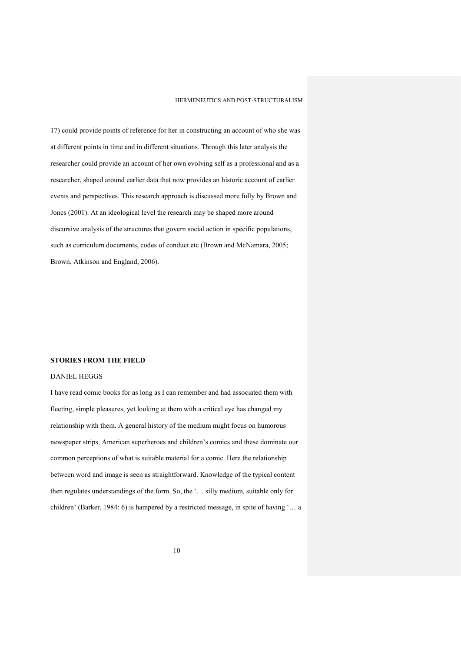17) could provide points of reference for her in constructing an account of who she was at different points in time and in different situations. Through this later analysis the researcher could provide an account of her own evolving self as a professional and as a researcher, shaped around earlier data that now provides an historic account of earlier events and perspectives. This research approach is discussed more fully by Brown and Jones (2001). At an ideological level the research may be shaped more around discursive analysis of the structures that govern social action in specific populations, such as curriculum documents, codes of conduct etc (Brown and McNamara, 2005; Brown, Atkinson and England, 2006).

# **STORIES FROM THE FIELD**

# DANIEL HEGGS

I have read comic books for as long as I can remember and had associated them with fleeting, simple pleasures, yet looking at them with a critical eye has changed my relationship with them. A general history of the medium might focus on humorous newspaper strips, American superheroes and children's comics and these dominate our common perceptions of what is suitable material for a comic. Here the relationship between word and image is seen as straightforward. Knowledge of the typical content then regulates understandings of the form. So, the '… silly medium, suitable only for children' (Barker, 1984: 6) is hampered by a restricted message, in spite of having '… a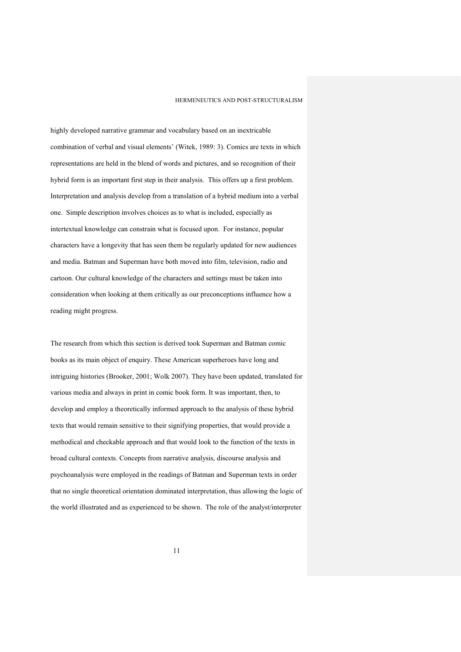highly developed narrative grammar and vocabulary based on an inextricable combination of verbal and visual elements' (Witek, 1989: 3). Comics are texts in which representations are held in the blend of words and pictures, and so recognition of their hybrid form is an important first step in their analysis. This offers up a first problem. Interpretation and analysis develop from a translation of a hybrid medium into a verbal one. Simple description involves choices as to what is included, especially as intertextual knowledge can constrain what is focused upon. For instance, popular characters have a longevity that has seen them be regularly updated for new audiences and media. Batman and Superman have both moved into film, television, radio and cartoon. Our cultural knowledge of the characters and settings must be taken into consideration when looking at them critically as our preconceptions influence how a reading might progress.

The research from which this section is derived took Superman and Batman comic books as its main object of enquiry. These American superheroes have long and intriguing histories (Brooker, 2001; Wolk 2007). They have been updated, translated for various media and always in print in comic book form. It was important, then, to develop and employ a theoretically informed approach to the analysis of these hybrid texts that would remain sensitive to their signifying properties, that would provide a methodical and checkable approach and that would look to the function of the texts in broad cultural contexts. Concepts from narrative analysis, discourse analysis and psychoanalysis were employed in the readings of Batman and Superman texts in order that no single theoretical orientation dominated interpretation, thus allowing the logic of the world illustrated and as experienced to be shown. The role of the analyst/interpreter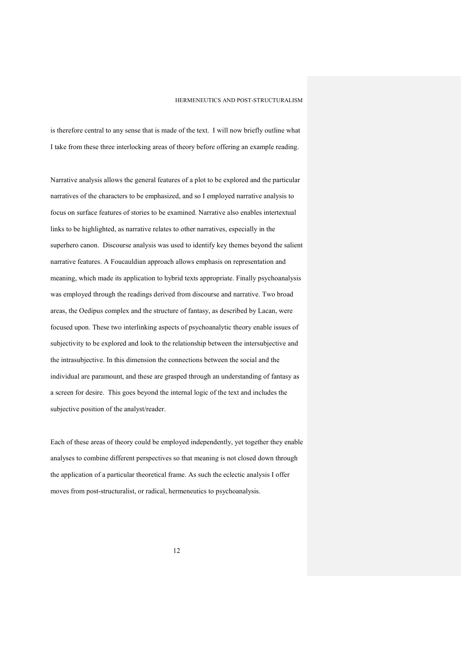is therefore central to any sense that is made of the text. I will now briefly outline what I take from these three interlocking areas of theory before offering an example reading.

Narrative analysis allows the general features of a plot to be explored and the particular narratives of the characters to be emphasized, and so I employed narrative analysis to focus on surface features of stories to be examined. Narrative also enables intertextual links to be highlighted, as narrative relates to other narratives, especially in the superhero canon. Discourse analysis was used to identify key themes beyond the salient narrative features. A Foucauldian approach allows emphasis on representation and meaning, which made its application to hybrid texts appropriate. Finally psychoanalysis was employed through the readings derived from discourse and narrative. Two broad areas, the Oedipus complex and the structure of fantasy, as described by Lacan, were focused upon. These two interlinking aspects of psychoanalytic theory enable issues of subjectivity to be explored and look to the relationship between the intersubjective and the intrasubjective. In this dimension the connections between the social and the individual are paramount, and these are grasped through an understanding of fantasy as a screen for desire. This goes beyond the internal logic of the text and includes the subjective position of the analyst/reader.

Each of these areas of theory could be employed independently, yet together they enable analyses to combine different perspectives so that meaning is not closed down through the application of a particular theoretical frame. As such the eclectic analysis I offer moves from post-structuralist, or radical, hermeneutics to psychoanalysis.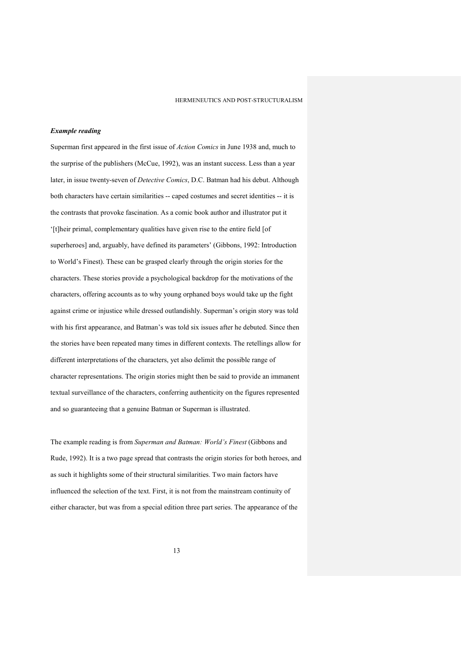# *Example reading*

Superman first appeared in the first issue of *Action Comics* in June 1938 and, much to the surprise of the publishers (McCue, 1992), was an instant success. Less than a year later, in issue twenty-seven of *Detective Comics*, D.C. Batman had his debut. Although both characters have certain similarities -- caped costumes and secret identities -- it is the contrasts that provoke fascination. As a comic book author and illustrator put it '[t]heir primal, complementary qualities have given rise to the entire field [of superheroes] and, arguably, have defined its parameters' (Gibbons, 1992: Introduction to World's Finest). These can be grasped clearly through the origin stories for the characters. These stories provide a psychological backdrop for the motivations of the characters, offering accounts as to why young orphaned boys would take up the fight against crime or injustice while dressed outlandishly. Superman's origin story was told with his first appearance, and Batman's was told six issues after he debuted. Since then the stories have been repeated many times in different contexts. The retellings allow for different interpretations of the characters, yet also delimit the possible range of character representations. The origin stories might then be said to provide an immanent textual surveillance of the characters, conferring authenticity on the figures represented and so guaranteeing that a genuine Batman or Superman is illustrated.

The example reading is from *Superman and Batman: World's Finest* (Gibbons and Rude, 1992). It is a two page spread that contrasts the origin stories for both heroes, and as such it highlights some of their structural similarities. Two main factors have influenced the selection of the text. First, it is not from the mainstream continuity of either character, but was from a special edition three part series. The appearance of the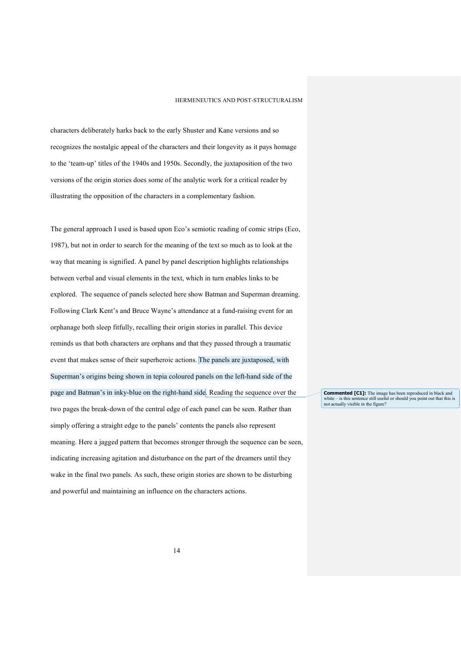characters deliberately harks back to the early Shuster and Kane versions and so recognizes the nostalgic appeal of the characters and their longevity as it pays homage to the 'team-up' titles of the 1940s and 1950s. Secondly, the juxtaposition of the two versions of the origin stories does some of the analytic work for a critical reader by illustrating the opposition of the characters in a complementary fashion.

The general approach I used is based upon Eco's semiotic reading of comic strips (Eco, 1987), but not in order to search for the meaning of the text so much as to look at the way that meaning is signified. A panel by panel description highlights relationships between verbal and visual elements in the text, which in turn enables links to be explored. The sequence of panels selected here show Batman and Superman dreaming. Following Clark Kent's and Bruce Wayne's attendance at a fund-raising event for an orphanage both sleep fitfully, recalling their origin stories in parallel. This device reminds us that both characters are orphans and that they passed through a traumatic event that makes sense of their superheroic actions. The panels are juxtaposed, with Superman's origins being shown in tepia coloured panels on the left-hand side of the page and Batman's in inky-blue on the right-hand side. Reading the sequence over the two pages the break-down of the central edge of each panel can be seen. Rather than simply offering a straight edge to the panels' contents the panels also represent meaning. Here a jagged pattern that becomes stronger through the sequence can be seen, indicating increasing agitation and disturbance on the part of the dreamers until they wake in the final two panels. As such, these origin stories are shown to be disturbing and powerful and maintaining an influence on the characters actions.

**Commented [C1]:** The image has been reproduced in black and white – is this sentence still useful or should you point out that this is not actually visible in the figure?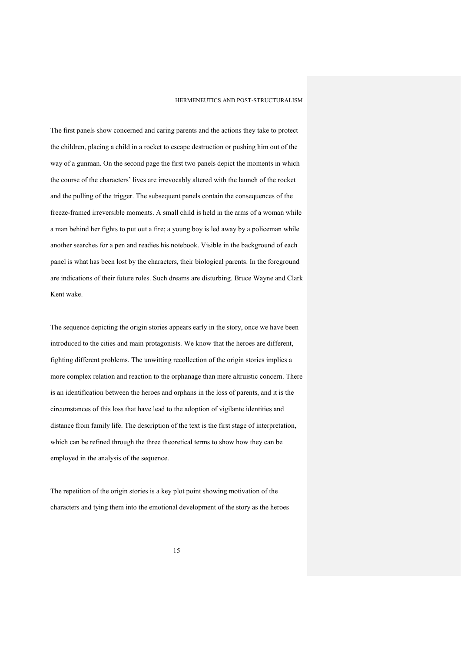The first panels show concerned and caring parents and the actions they take to protect the children, placing a child in a rocket to escape destruction or pushing him out of the way of a gunman. On the second page the first two panels depict the moments in which the course of the characters' lives are irrevocably altered with the launch of the rocket and the pulling of the trigger. The subsequent panels contain the consequences of the freeze-framed irreversible moments. A small child is held in the arms of a woman while a man behind her fights to put out a fire; a young boy is led away by a policeman while another searches for a pen and readies his notebook. Visible in the background of each panel is what has been lost by the characters, their biological parents. In the foreground are indications of their future roles. Such dreams are disturbing. Bruce Wayne and Clark Kent wake.

The sequence depicting the origin stories appears early in the story, once we have been introduced to the cities and main protagonists. We know that the heroes are different, fighting different problems. The unwitting recollection of the origin stories implies a more complex relation and reaction to the orphanage than mere altruistic concern. There is an identification between the heroes and orphans in the loss of parents, and it is the circumstances of this loss that have lead to the adoption of vigilante identities and distance from family life. The description of the text is the first stage of interpretation, which can be refined through the three theoretical terms to show how they can be employed in the analysis of the sequence.

The repetition of the origin stories is a key plot point showing motivation of the characters and tying them into the emotional development of the story as the heroes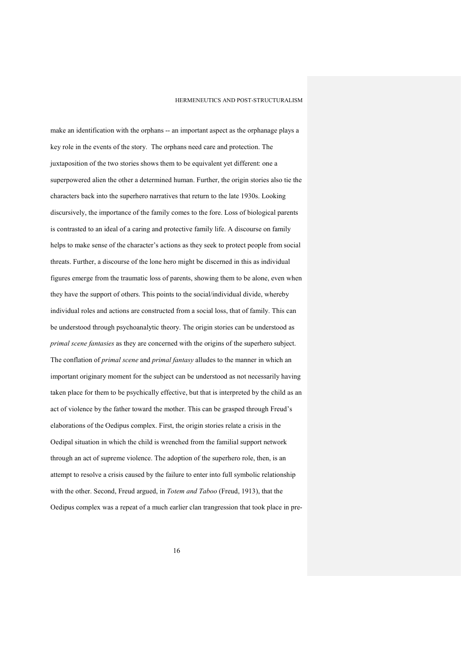make an identification with the orphans -- an important aspect as the orphanage plays a key role in the events of the story. The orphans need care and protection. The juxtaposition of the two stories shows them to be equivalent yet different: one a superpowered alien the other a determined human. Further, the origin stories also tie the characters back into the superhero narratives that return to the late 1930s. Looking discursively, the importance of the family comes to the fore. Loss of biological parents is contrasted to an ideal of a caring and protective family life. A discourse on family helps to make sense of the character's actions as they seek to protect people from social threats. Further, a discourse of the lone hero might be discerned in this as individual figures emerge from the traumatic loss of parents, showing them to be alone, even when they have the support of others. This points to the social/individual divide, whereby individual roles and actions are constructed from a social loss, that of family. This can be understood through psychoanalytic theory. The origin stories can be understood as *primal scene fantasies* as they are concerned with the origins of the superhero subject. The conflation of *primal scene* and *primal fantasy* alludes to the manner in which an important originary moment for the subject can be understood as not necessarily having taken place for them to be psychically effective, but that is interpreted by the child as an act of violence by the father toward the mother. This can be grasped through Freud's elaborations of the Oedipus complex. First, the origin stories relate a crisis in the Oedipal situation in which the child is wrenched from the familial support network through an act of supreme violence. The adoption of the superhero role, then, is an attempt to resolve a crisis caused by the failure to enter into full symbolic relationship with the other. Second, Freud argued, in *Totem and Taboo* (Freud, 1913), that the Oedipus complex was a repeat of a much earlier clan trangression that took place in pre-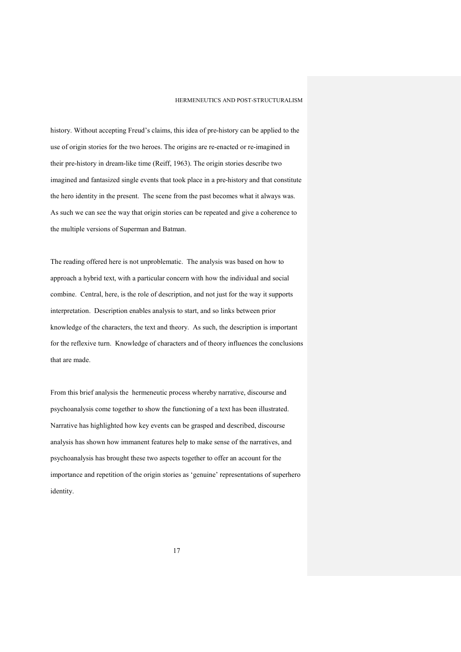history. Without accepting Freud's claims, this idea of pre-history can be applied to the use of origin stories for the two heroes. The origins are re-enacted or re-imagined in their pre-history in dream-like time (Reiff, 1963). The origin stories describe two imagined and fantasized single events that took place in a pre-history and that constitute the hero identity in the present. The scene from the past becomes what it always was. As such we can see the way that origin stories can be repeated and give a coherence to the multiple versions of Superman and Batman.

The reading offered here is not unproblematic. The analysis was based on how to approach a hybrid text, with a particular concern with how the individual and social combine. Central, here, is the role of description, and not just for the way it supports interpretation. Description enables analysis to start, and so links between prior knowledge of the characters, the text and theory. As such, the description is important for the reflexive turn. Knowledge of characters and of theory influences the conclusions that are made.

From this brief analysis the hermeneutic process whereby narrative, discourse and psychoanalysis come together to show the functioning of a text has been illustrated. Narrative has highlighted how key events can be grasped and described, discourse analysis has shown how immanent features help to make sense of the narratives, and psychoanalysis has brought these two aspects together to offer an account for the importance and repetition of the origin stories as 'genuine' representations of superhero identity.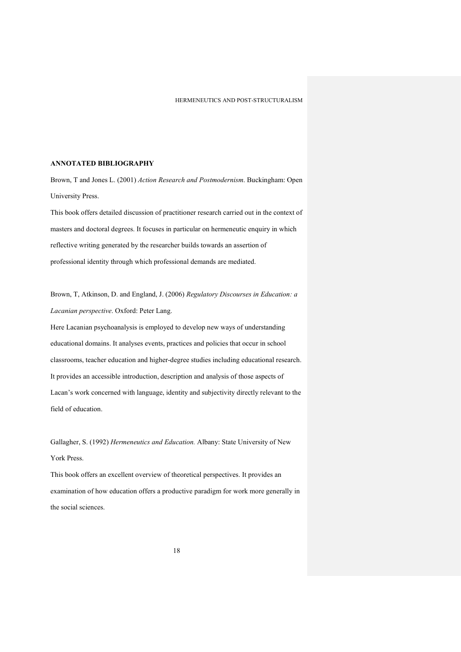# **ANNOTATED BIBLIOGRAPHY**

Brown, T and Jones L. (2001) *Action Research and Postmodernism*. Buckingham: Open University Press.

This book offers detailed discussion of practitioner research carried out in the context of masters and doctoral degrees. It focuses in particular on hermeneutic enquiry in which reflective writing generated by the researcher builds towards an assertion of professional identity through which professional demands are mediated.

Brown, T, Atkinson, D. and England, J. (2006) *Regulatory Discourses in Education: a Lacanian perspective*. Oxford: Peter Lang.

Here Lacanian psychoanalysis is employed to develop new ways of understanding educational domains. It analyses events, practices and policies that occur in school classrooms, teacher education and higher-degree studies including educational research. It provides an accessible introduction, description and analysis of those aspects of Lacan's work concerned with language, identity and subjectivity directly relevant to the field of education.

Gallagher, S. (1992) *Hermeneutics and Education.* Albany: State University of New York Press.

This book offers an excellent overview of theoretical perspectives. It provides an examination of how education offers a productive paradigm for work more generally in the social sciences.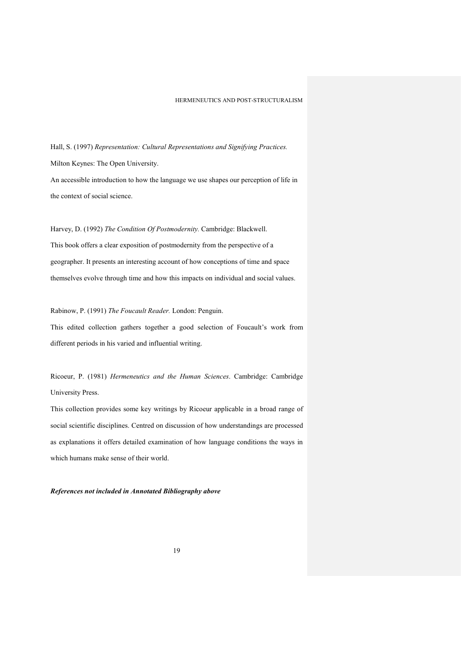Hall, S. (1997) *Representation: Cultural Representations and Signifying Practices.* Milton Keynes: The Open University.

An accessible introduction to how the language we use shapes our perception of life in the context of social science.

Harvey, D. (1992) *The Condition Of Postmodernity.* Cambridge: Blackwell. This book offers a clear exposition of postmodernity from the perspective of a geographer. It presents an interesting account of how conceptions of time and space themselves evolve through time and how this impacts on individual and social values.

Rabinow, P. (1991) *The Foucault Reader.* London: Penguin.

This edited collection gathers together a good selection of Foucault's work from different periods in his varied and influential writing.

Ricoeur, P. (1981) *Hermeneutics and the Human Sciences*. Cambridge: Cambridge University Press.

This collection provides some key writings by Ricoeur applicable in a broad range of social scientific disciplines. Centred on discussion of how understandings are processed as explanations it offers detailed examination of how language conditions the ways in which humans make sense of their world.

*References not included in Annotated Bibliography above*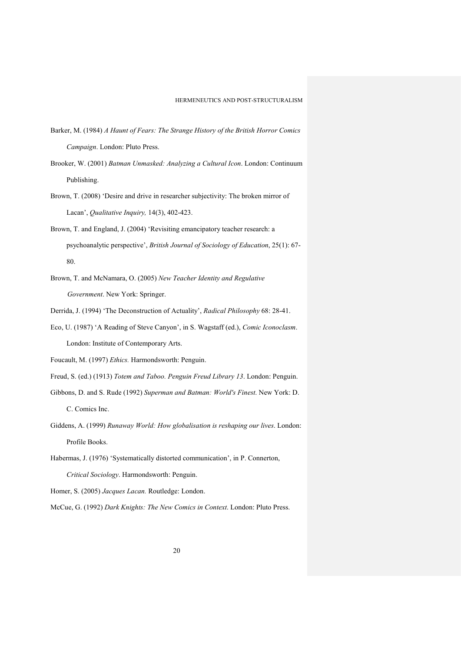- Barker, M. (1984) *A Haunt of Fears: The Strange History of the British Horror Comics Campaign*. London: Pluto Press.
- Brooker, W. (2001) *Batman Unmasked: Analyzing a Cultural Icon*. London: Continuum Publishing.
- Brown, T. (2008) 'Desire and drive in researcher subjectivity: The broken mirror of Lacan', *Qualitative Inquiry,* 14(3), 402-423.
- Brown, T. and England, J. (2004) 'Revisiting emancipatory teacher research: a psychoanalytic perspective', *British Journal of Sociology of Education*, 25(1): 67- 80.
- Brown, T. and McNamara, O. (2005) *New Teacher Identity and Regulative Government*. New York: Springer.
- Derrida, J. (1994) 'The Deconstruction of Actuality', *Radical Philosophy* 68: 28-41.
- Eco, U. (1987) 'A Reading of Steve Canyon', in S. Wagstaff (ed.), *Comic Iconoclasm*. London: Institute of Contemporary Arts.

Foucault, M. (1997) *Ethics.* Harmondsworth: Penguin.

- Freud, S. (ed.) (1913) *Totem and Taboo. Penguin Freud Library 13*. London: Penguin.
- Gibbons, D. and S. Rude (1992) *Superman and Batman: World's Finest*. New York: D. C. Comics Inc.
- Giddens, A. (1999) *Runaway World: How globalisation is reshaping our lives*. London: Profile Books.
- Habermas, J. (1976) 'Systematically distorted communication', in P. Connerton, *Critical Sociology*. Harmondsworth: Penguin.

Homer, S. (2005) *Jacques Lacan.* Routledge: London.

McCue, G. (1992) *Dark Knights: The New Comics in Context*. London: Pluto Press.